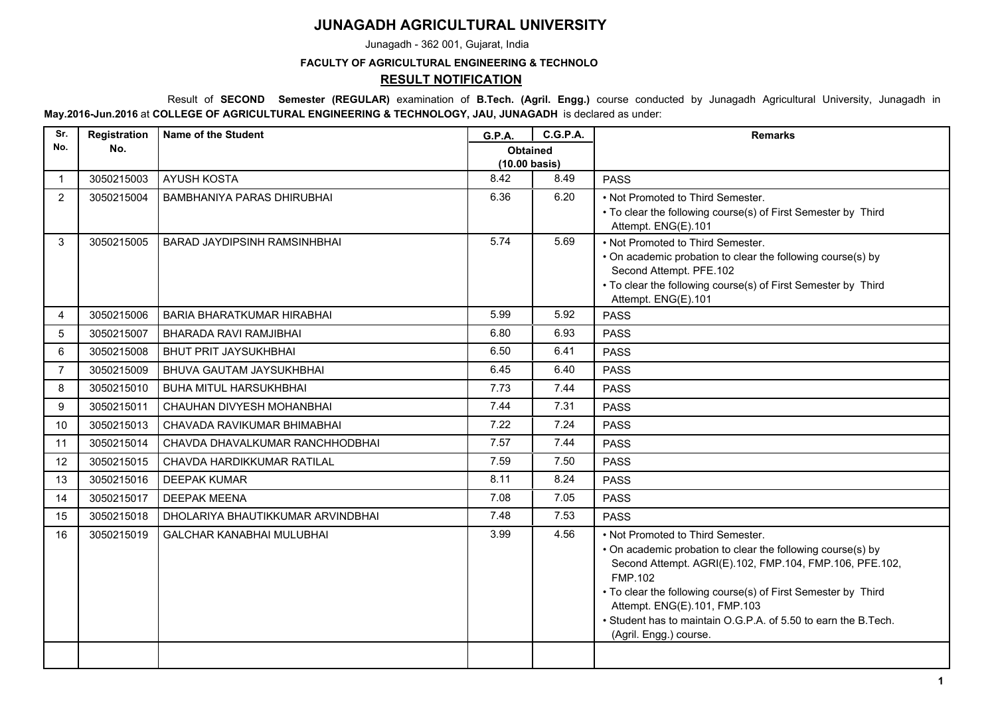## **JUNAGADH AGRICULTURAL UNIVERSITY**

Junagadh - 362 001, Gujarat, India

## **FACULTY OF AGRICULTURAL ENGINEERING & TECHNOLO**

## **RESULT NOTIFICATION**

 Result of **SECOND Semester (REGULAR)** examination of **B.Tech. (Agril. Engg.)** course conducted by Junagadh Agricultural University, Junagadh in **May.2016-Jun.2016** at **COLLEGE OF AGRICULTURAL ENGINEERING & TECHNOLOGY, JAU, JUNAGADH** is declared as under:

| Sr.            | <b>Registration</b> | <b>Name of the Student</b>          | <b>G.P.A.</b>                              | <b>C.G.P.A.</b> | <b>Remarks</b>                                                                                                                                                                                                                                                                                                                                                             |
|----------------|---------------------|-------------------------------------|--------------------------------------------|-----------------|----------------------------------------------------------------------------------------------------------------------------------------------------------------------------------------------------------------------------------------------------------------------------------------------------------------------------------------------------------------------------|
| No.            | No.                 |                                     | <b>Obtained</b><br>$(10.00 \text{ basis})$ |                 |                                                                                                                                                                                                                                                                                                                                                                            |
| $\mathbf{1}$   | 3050215003          | <b>AYUSH KOSTA</b>                  | 8.42                                       | 8.49            | <b>PASS</b>                                                                                                                                                                                                                                                                                                                                                                |
| 2              | 3050215004          | <b>BAMBHANIYA PARAS DHIRUBHAI</b>   | 6.36                                       | 6.20            | • Not Promoted to Third Semester.<br>• To clear the following course(s) of First Semester by Third<br>Attempt. ENG(E).101                                                                                                                                                                                                                                                  |
| 3              | 3050215005          | <b>BARAD JAYDIPSINH RAMSINHBHAI</b> | 5.74                                       | 5.69            | • Not Promoted to Third Semester.<br>• On academic probation to clear the following course(s) by<br>Second Attempt. PFE.102<br>• To clear the following course(s) of First Semester by Third<br>Attempt. ENG(E).101                                                                                                                                                        |
| 4              | 3050215006          | <b>BARIA BHARATKUMAR HIRABHAI</b>   | 5.99                                       | 5.92            | <b>PASS</b>                                                                                                                                                                                                                                                                                                                                                                |
| 5              | 3050215007          | <b>BHARADA RAVI RAMJIBHAI</b>       | 6.80                                       | 6.93            | <b>PASS</b>                                                                                                                                                                                                                                                                                                                                                                |
| 6              | 3050215008          | <b>BHUT PRIT JAYSUKHBHAI</b>        | 6.50                                       | 6.41            | <b>PASS</b>                                                                                                                                                                                                                                                                                                                                                                |
| $\overline{7}$ | 3050215009          | BHUVA GAUTAM JAYSUKHBHAI            | 6.45                                       | 6.40            | <b>PASS</b>                                                                                                                                                                                                                                                                                                                                                                |
| 8              | 3050215010          | <b>BUHA MITUL HARSUKHBHAI</b>       | 7.73                                       | 7.44            | <b>PASS</b>                                                                                                                                                                                                                                                                                                                                                                |
| 9              | 3050215011          | CHAUHAN DIVYESH MOHANBHAI           | 7.44                                       | 7.31            | <b>PASS</b>                                                                                                                                                                                                                                                                                                                                                                |
| 10             | 3050215013          | CHAVADA RAVIKUMAR BHIMABHAI         | 7.22                                       | 7.24            | <b>PASS</b>                                                                                                                                                                                                                                                                                                                                                                |
| 11             | 3050215014          | CHAVDA DHAVALKUMAR RANCHHODBHAI     | 7.57                                       | 7.44            | <b>PASS</b>                                                                                                                                                                                                                                                                                                                                                                |
| 12             | 3050215015          | CHAVDA HARDIKKUMAR RATILAL          | 7.59                                       | 7.50            | <b>PASS</b>                                                                                                                                                                                                                                                                                                                                                                |
| 13             | 3050215016          | <b>DEEPAK KUMAR</b>                 | 8.11                                       | 8.24            | <b>PASS</b>                                                                                                                                                                                                                                                                                                                                                                |
| 14             | 3050215017          | <b>DEEPAK MEENA</b>                 | 7.08                                       | 7.05            | <b>PASS</b>                                                                                                                                                                                                                                                                                                                                                                |
| 15             | 3050215018          | DHOLARIYA BHAUTIKKUMAR ARVINDBHAI   | 7.48                                       | 7.53            | <b>PASS</b>                                                                                                                                                                                                                                                                                                                                                                |
| 16             | 3050215019          | <b>GALCHAR KANABHAI MULUBHAI</b>    | 3.99                                       | 4.56            | • Not Promoted to Third Semester.<br>• On academic probation to clear the following course(s) by<br>Second Attempt. AGRI(E).102, FMP.104, FMP.106, PFE.102,<br><b>FMP.102</b><br>• To clear the following course(s) of First Semester by Third<br>Attempt. ENG(E).101, FMP.103<br>• Student has to maintain O.G.P.A. of 5.50 to earn the B.Tech.<br>(Agril. Engg.) course. |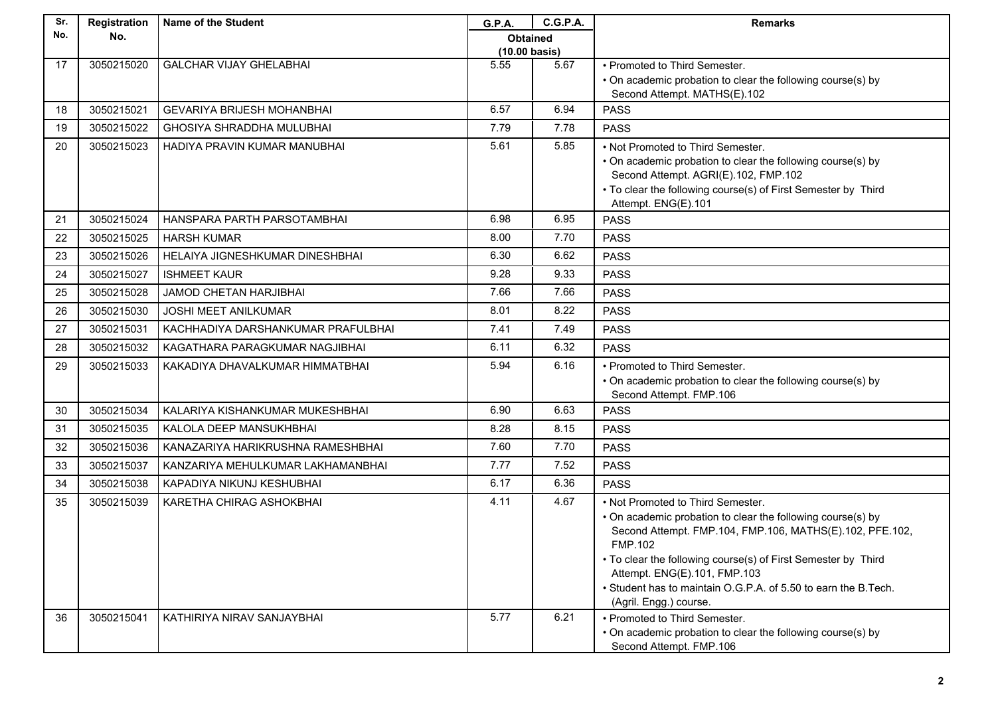| No.<br>No.<br><b>Obtained</b><br>$(10.00 \text{ basis})$<br>5.55<br>5.67<br>17<br>3050215020<br><b>GALCHAR VIJAY GHELABHAI</b><br>• Promoted to Third Semester.<br>• On academic probation to clear the following course(s) by<br>Second Attempt. MATHS(E).102<br>6.57<br>6.94<br>3050215021<br><b>PASS</b><br><b>GEVARIYA BRIJESH MOHANBHAI</b><br>18<br>7.79<br>7.78<br>19<br>3050215022<br><b>GHOSIYA SHRADDHA MULUBHAI</b><br><b>PASS</b><br>5.85<br>5.61<br>20<br>3050215023<br>HADIYA PRAVIN KUMAR MANUBHAI<br>• Not Promoted to Third Semester.<br>• On academic probation to clear the following course(s) by<br>Second Attempt. AGRI(E).102, FMP.102<br>• To clear the following course(s) of First Semester by Third<br>Attempt. ENG(E).101<br>6.95<br>3050215024<br>6.98<br>21<br>HANSPARA PARTH PARSOTAMBHAI<br><b>PASS</b><br>7.70<br>8.00<br>3050215025<br><b>PASS</b><br>22<br><b>HARSH KUMAR</b><br>6.30<br>6.62<br>23<br>3050215026<br>HELAIYA JIGNESHKUMAR DINESHBHAI<br><b>PASS</b><br>9.28<br>9.33<br>3050215027<br><b>ISHMEET KAUR</b><br>24<br><b>PASS</b><br>7.66<br>7.66<br>25<br>3050215028<br><b>JAMOD CHETAN HARJIBHAI</b><br><b>PASS</b><br>8.01<br>8.22<br>3050215030<br><b>JOSHI MEET ANILKUMAR</b><br><b>PASS</b><br>26<br>7.41<br>7.49<br>27<br>3050215031<br>KACHHADIYA DARSHANKUMAR PRAFULBHAI<br><b>PASS</b><br>6.32<br>6.11<br>3050215032<br>KAGATHARA PARAGKUMAR NAGJIBHAI<br><b>PASS</b><br>28<br>5.94<br>6.16<br>29<br>3050215033<br>KAKADIYA DHAVALKUMAR HIMMATBHAI<br>• Promoted to Third Semester.<br>• On academic probation to clear the following course(s) by<br>Second Attempt. FMP.106<br>6.90<br>6.63<br>3050215034<br>30<br>KALARIYA KISHANKUMAR MUKESHBHAI<br><b>PASS</b><br>3050215035<br>8.28<br>8.15<br>31<br>KALOLA DEEP MANSUKHBHAI<br><b>PASS</b><br>7.70<br>7.60<br>32<br>3050215036<br>KANAZARIYA HARIKRUSHNA RAMESHBHAI<br><b>PASS</b><br>7.77<br>7.52<br>3050215037<br><b>PASS</b><br>33<br>KANZARIYA MEHULKUMAR LAKHAMANBHAI<br>3050215038<br>6.17<br>6.36<br>34<br>KAPADIYA NIKUNJ KESHUBHAI<br><b>PASS</b><br>4.67<br>3050215039<br>4.11<br>35<br>KARETHA CHIRAG ASHOKBHAI<br>• Not Promoted to Third Semester.<br>• On academic probation to clear the following course(s) by<br>Second Attempt. FMP.104, FMP.106, MATHS(E).102, PFE.102,<br>FMP.102<br>• To clear the following course(s) of First Semester by Third<br>Attempt. ENG(E).101, FMP.103<br>• Student has to maintain O.G.P.A. of 5.50 to earn the B.Tech.<br>(Agril. Engg.) course.<br>5.77<br>3050215041<br>6.21<br>36<br>KATHIRIYA NIRAV SANJAYBHAI<br>• Promoted to Third Semester.<br>• On academic probation to clear the following course(s) by | Sr. | Registration | <b>Name of the Student</b> | G.P.A. | <b>C.G.P.A.</b> | <b>Remarks</b>          |
|--------------------------------------------------------------------------------------------------------------------------------------------------------------------------------------------------------------------------------------------------------------------------------------------------------------------------------------------------------------------------------------------------------------------------------------------------------------------------------------------------------------------------------------------------------------------------------------------------------------------------------------------------------------------------------------------------------------------------------------------------------------------------------------------------------------------------------------------------------------------------------------------------------------------------------------------------------------------------------------------------------------------------------------------------------------------------------------------------------------------------------------------------------------------------------------------------------------------------------------------------------------------------------------------------------------------------------------------------------------------------------------------------------------------------------------------------------------------------------------------------------------------------------------------------------------------------------------------------------------------------------------------------------------------------------------------------------------------------------------------------------------------------------------------------------------------------------------------------------------------------------------------------------------------------------------------------------------------------------------------------------------------------------------------------------------------------------------------------------------------------------------------------------------------------------------------------------------------------------------------------------------------------------------------------------------------------------------------------------------------------------------------------------------------------------------------------------------------------------------------------------------------------------------------------------------------------------------------------------------------------------------------------------------------------------------|-----|--------------|----------------------------|--------|-----------------|-------------------------|
|                                                                                                                                                                                                                                                                                                                                                                                                                                                                                                                                                                                                                                                                                                                                                                                                                                                                                                                                                                                                                                                                                                                                                                                                                                                                                                                                                                                                                                                                                                                                                                                                                                                                                                                                                                                                                                                                                                                                                                                                                                                                                                                                                                                                                                                                                                                                                                                                                                                                                                                                                                                                                                                                                      |     |              |                            |        |                 |                         |
|                                                                                                                                                                                                                                                                                                                                                                                                                                                                                                                                                                                                                                                                                                                                                                                                                                                                                                                                                                                                                                                                                                                                                                                                                                                                                                                                                                                                                                                                                                                                                                                                                                                                                                                                                                                                                                                                                                                                                                                                                                                                                                                                                                                                                                                                                                                                                                                                                                                                                                                                                                                                                                                                                      |     |              |                            |        |                 |                         |
|                                                                                                                                                                                                                                                                                                                                                                                                                                                                                                                                                                                                                                                                                                                                                                                                                                                                                                                                                                                                                                                                                                                                                                                                                                                                                                                                                                                                                                                                                                                                                                                                                                                                                                                                                                                                                                                                                                                                                                                                                                                                                                                                                                                                                                                                                                                                                                                                                                                                                                                                                                                                                                                                                      |     |              |                            |        |                 |                         |
|                                                                                                                                                                                                                                                                                                                                                                                                                                                                                                                                                                                                                                                                                                                                                                                                                                                                                                                                                                                                                                                                                                                                                                                                                                                                                                                                                                                                                                                                                                                                                                                                                                                                                                                                                                                                                                                                                                                                                                                                                                                                                                                                                                                                                                                                                                                                                                                                                                                                                                                                                                                                                                                                                      |     |              |                            |        |                 |                         |
|                                                                                                                                                                                                                                                                                                                                                                                                                                                                                                                                                                                                                                                                                                                                                                                                                                                                                                                                                                                                                                                                                                                                                                                                                                                                                                                                                                                                                                                                                                                                                                                                                                                                                                                                                                                                                                                                                                                                                                                                                                                                                                                                                                                                                                                                                                                                                                                                                                                                                                                                                                                                                                                                                      |     |              |                            |        |                 |                         |
|                                                                                                                                                                                                                                                                                                                                                                                                                                                                                                                                                                                                                                                                                                                                                                                                                                                                                                                                                                                                                                                                                                                                                                                                                                                                                                                                                                                                                                                                                                                                                                                                                                                                                                                                                                                                                                                                                                                                                                                                                                                                                                                                                                                                                                                                                                                                                                                                                                                                                                                                                                                                                                                                                      |     |              |                            |        |                 |                         |
|                                                                                                                                                                                                                                                                                                                                                                                                                                                                                                                                                                                                                                                                                                                                                                                                                                                                                                                                                                                                                                                                                                                                                                                                                                                                                                                                                                                                                                                                                                                                                                                                                                                                                                                                                                                                                                                                                                                                                                                                                                                                                                                                                                                                                                                                                                                                                                                                                                                                                                                                                                                                                                                                                      |     |              |                            |        |                 |                         |
|                                                                                                                                                                                                                                                                                                                                                                                                                                                                                                                                                                                                                                                                                                                                                                                                                                                                                                                                                                                                                                                                                                                                                                                                                                                                                                                                                                                                                                                                                                                                                                                                                                                                                                                                                                                                                                                                                                                                                                                                                                                                                                                                                                                                                                                                                                                                                                                                                                                                                                                                                                                                                                                                                      |     |              |                            |        |                 |                         |
|                                                                                                                                                                                                                                                                                                                                                                                                                                                                                                                                                                                                                                                                                                                                                                                                                                                                                                                                                                                                                                                                                                                                                                                                                                                                                                                                                                                                                                                                                                                                                                                                                                                                                                                                                                                                                                                                                                                                                                                                                                                                                                                                                                                                                                                                                                                                                                                                                                                                                                                                                                                                                                                                                      |     |              |                            |        |                 |                         |
|                                                                                                                                                                                                                                                                                                                                                                                                                                                                                                                                                                                                                                                                                                                                                                                                                                                                                                                                                                                                                                                                                                                                                                                                                                                                                                                                                                                                                                                                                                                                                                                                                                                                                                                                                                                                                                                                                                                                                                                                                                                                                                                                                                                                                                                                                                                                                                                                                                                                                                                                                                                                                                                                                      |     |              |                            |        |                 |                         |
|                                                                                                                                                                                                                                                                                                                                                                                                                                                                                                                                                                                                                                                                                                                                                                                                                                                                                                                                                                                                                                                                                                                                                                                                                                                                                                                                                                                                                                                                                                                                                                                                                                                                                                                                                                                                                                                                                                                                                                                                                                                                                                                                                                                                                                                                                                                                                                                                                                                                                                                                                                                                                                                                                      |     |              |                            |        |                 |                         |
|                                                                                                                                                                                                                                                                                                                                                                                                                                                                                                                                                                                                                                                                                                                                                                                                                                                                                                                                                                                                                                                                                                                                                                                                                                                                                                                                                                                                                                                                                                                                                                                                                                                                                                                                                                                                                                                                                                                                                                                                                                                                                                                                                                                                                                                                                                                                                                                                                                                                                                                                                                                                                                                                                      |     |              |                            |        |                 |                         |
|                                                                                                                                                                                                                                                                                                                                                                                                                                                                                                                                                                                                                                                                                                                                                                                                                                                                                                                                                                                                                                                                                                                                                                                                                                                                                                                                                                                                                                                                                                                                                                                                                                                                                                                                                                                                                                                                                                                                                                                                                                                                                                                                                                                                                                                                                                                                                                                                                                                                                                                                                                                                                                                                                      |     |              |                            |        |                 |                         |
|                                                                                                                                                                                                                                                                                                                                                                                                                                                                                                                                                                                                                                                                                                                                                                                                                                                                                                                                                                                                                                                                                                                                                                                                                                                                                                                                                                                                                                                                                                                                                                                                                                                                                                                                                                                                                                                                                                                                                                                                                                                                                                                                                                                                                                                                                                                                                                                                                                                                                                                                                                                                                                                                                      |     |              |                            |        |                 |                         |
|                                                                                                                                                                                                                                                                                                                                                                                                                                                                                                                                                                                                                                                                                                                                                                                                                                                                                                                                                                                                                                                                                                                                                                                                                                                                                                                                                                                                                                                                                                                                                                                                                                                                                                                                                                                                                                                                                                                                                                                                                                                                                                                                                                                                                                                                                                                                                                                                                                                                                                                                                                                                                                                                                      |     |              |                            |        |                 |                         |
|                                                                                                                                                                                                                                                                                                                                                                                                                                                                                                                                                                                                                                                                                                                                                                                                                                                                                                                                                                                                                                                                                                                                                                                                                                                                                                                                                                                                                                                                                                                                                                                                                                                                                                                                                                                                                                                                                                                                                                                                                                                                                                                                                                                                                                                                                                                                                                                                                                                                                                                                                                                                                                                                                      |     |              |                            |        |                 |                         |
|                                                                                                                                                                                                                                                                                                                                                                                                                                                                                                                                                                                                                                                                                                                                                                                                                                                                                                                                                                                                                                                                                                                                                                                                                                                                                                                                                                                                                                                                                                                                                                                                                                                                                                                                                                                                                                                                                                                                                                                                                                                                                                                                                                                                                                                                                                                                                                                                                                                                                                                                                                                                                                                                                      |     |              |                            |        |                 |                         |
|                                                                                                                                                                                                                                                                                                                                                                                                                                                                                                                                                                                                                                                                                                                                                                                                                                                                                                                                                                                                                                                                                                                                                                                                                                                                                                                                                                                                                                                                                                                                                                                                                                                                                                                                                                                                                                                                                                                                                                                                                                                                                                                                                                                                                                                                                                                                                                                                                                                                                                                                                                                                                                                                                      |     |              |                            |        |                 |                         |
|                                                                                                                                                                                                                                                                                                                                                                                                                                                                                                                                                                                                                                                                                                                                                                                                                                                                                                                                                                                                                                                                                                                                                                                                                                                                                                                                                                                                                                                                                                                                                                                                                                                                                                                                                                                                                                                                                                                                                                                                                                                                                                                                                                                                                                                                                                                                                                                                                                                                                                                                                                                                                                                                                      |     |              |                            |        |                 |                         |
|                                                                                                                                                                                                                                                                                                                                                                                                                                                                                                                                                                                                                                                                                                                                                                                                                                                                                                                                                                                                                                                                                                                                                                                                                                                                                                                                                                                                                                                                                                                                                                                                                                                                                                                                                                                                                                                                                                                                                                                                                                                                                                                                                                                                                                                                                                                                                                                                                                                                                                                                                                                                                                                                                      |     |              |                            |        |                 |                         |
|                                                                                                                                                                                                                                                                                                                                                                                                                                                                                                                                                                                                                                                                                                                                                                                                                                                                                                                                                                                                                                                                                                                                                                                                                                                                                                                                                                                                                                                                                                                                                                                                                                                                                                                                                                                                                                                                                                                                                                                                                                                                                                                                                                                                                                                                                                                                                                                                                                                                                                                                                                                                                                                                                      |     |              |                            |        |                 |                         |
|                                                                                                                                                                                                                                                                                                                                                                                                                                                                                                                                                                                                                                                                                                                                                                                                                                                                                                                                                                                                                                                                                                                                                                                                                                                                                                                                                                                                                                                                                                                                                                                                                                                                                                                                                                                                                                                                                                                                                                                                                                                                                                                                                                                                                                                                                                                                                                                                                                                                                                                                                                                                                                                                                      |     |              |                            |        |                 |                         |
|                                                                                                                                                                                                                                                                                                                                                                                                                                                                                                                                                                                                                                                                                                                                                                                                                                                                                                                                                                                                                                                                                                                                                                                                                                                                                                                                                                                                                                                                                                                                                                                                                                                                                                                                                                                                                                                                                                                                                                                                                                                                                                                                                                                                                                                                                                                                                                                                                                                                                                                                                                                                                                                                                      |     |              |                            |        |                 |                         |
|                                                                                                                                                                                                                                                                                                                                                                                                                                                                                                                                                                                                                                                                                                                                                                                                                                                                                                                                                                                                                                                                                                                                                                                                                                                                                                                                                                                                                                                                                                                                                                                                                                                                                                                                                                                                                                                                                                                                                                                                                                                                                                                                                                                                                                                                                                                                                                                                                                                                                                                                                                                                                                                                                      |     |              |                            |        |                 |                         |
|                                                                                                                                                                                                                                                                                                                                                                                                                                                                                                                                                                                                                                                                                                                                                                                                                                                                                                                                                                                                                                                                                                                                                                                                                                                                                                                                                                                                                                                                                                                                                                                                                                                                                                                                                                                                                                                                                                                                                                                                                                                                                                                                                                                                                                                                                                                                                                                                                                                                                                                                                                                                                                                                                      |     |              |                            |        |                 |                         |
|                                                                                                                                                                                                                                                                                                                                                                                                                                                                                                                                                                                                                                                                                                                                                                                                                                                                                                                                                                                                                                                                                                                                                                                                                                                                                                                                                                                                                                                                                                                                                                                                                                                                                                                                                                                                                                                                                                                                                                                                                                                                                                                                                                                                                                                                                                                                                                                                                                                                                                                                                                                                                                                                                      |     |              |                            |        |                 |                         |
|                                                                                                                                                                                                                                                                                                                                                                                                                                                                                                                                                                                                                                                                                                                                                                                                                                                                                                                                                                                                                                                                                                                                                                                                                                                                                                                                                                                                                                                                                                                                                                                                                                                                                                                                                                                                                                                                                                                                                                                                                                                                                                                                                                                                                                                                                                                                                                                                                                                                                                                                                                                                                                                                                      |     |              |                            |        |                 |                         |
|                                                                                                                                                                                                                                                                                                                                                                                                                                                                                                                                                                                                                                                                                                                                                                                                                                                                                                                                                                                                                                                                                                                                                                                                                                                                                                                                                                                                                                                                                                                                                                                                                                                                                                                                                                                                                                                                                                                                                                                                                                                                                                                                                                                                                                                                                                                                                                                                                                                                                                                                                                                                                                                                                      |     |              |                            |        |                 |                         |
|                                                                                                                                                                                                                                                                                                                                                                                                                                                                                                                                                                                                                                                                                                                                                                                                                                                                                                                                                                                                                                                                                                                                                                                                                                                                                                                                                                                                                                                                                                                                                                                                                                                                                                                                                                                                                                                                                                                                                                                                                                                                                                                                                                                                                                                                                                                                                                                                                                                                                                                                                                                                                                                                                      |     |              |                            |        |                 |                         |
|                                                                                                                                                                                                                                                                                                                                                                                                                                                                                                                                                                                                                                                                                                                                                                                                                                                                                                                                                                                                                                                                                                                                                                                                                                                                                                                                                                                                                                                                                                                                                                                                                                                                                                                                                                                                                                                                                                                                                                                                                                                                                                                                                                                                                                                                                                                                                                                                                                                                                                                                                                                                                                                                                      |     |              |                            |        |                 |                         |
|                                                                                                                                                                                                                                                                                                                                                                                                                                                                                                                                                                                                                                                                                                                                                                                                                                                                                                                                                                                                                                                                                                                                                                                                                                                                                                                                                                                                                                                                                                                                                                                                                                                                                                                                                                                                                                                                                                                                                                                                                                                                                                                                                                                                                                                                                                                                                                                                                                                                                                                                                                                                                                                                                      |     |              |                            |        |                 |                         |
|                                                                                                                                                                                                                                                                                                                                                                                                                                                                                                                                                                                                                                                                                                                                                                                                                                                                                                                                                                                                                                                                                                                                                                                                                                                                                                                                                                                                                                                                                                                                                                                                                                                                                                                                                                                                                                                                                                                                                                                                                                                                                                                                                                                                                                                                                                                                                                                                                                                                                                                                                                                                                                                                                      |     |              |                            |        |                 |                         |
|                                                                                                                                                                                                                                                                                                                                                                                                                                                                                                                                                                                                                                                                                                                                                                                                                                                                                                                                                                                                                                                                                                                                                                                                                                                                                                                                                                                                                                                                                                                                                                                                                                                                                                                                                                                                                                                                                                                                                                                                                                                                                                                                                                                                                                                                                                                                                                                                                                                                                                                                                                                                                                                                                      |     |              |                            |        |                 |                         |
|                                                                                                                                                                                                                                                                                                                                                                                                                                                                                                                                                                                                                                                                                                                                                                                                                                                                                                                                                                                                                                                                                                                                                                                                                                                                                                                                                                                                                                                                                                                                                                                                                                                                                                                                                                                                                                                                                                                                                                                                                                                                                                                                                                                                                                                                                                                                                                                                                                                                                                                                                                                                                                                                                      |     |              |                            |        |                 |                         |
|                                                                                                                                                                                                                                                                                                                                                                                                                                                                                                                                                                                                                                                                                                                                                                                                                                                                                                                                                                                                                                                                                                                                                                                                                                                                                                                                                                                                                                                                                                                                                                                                                                                                                                                                                                                                                                                                                                                                                                                                                                                                                                                                                                                                                                                                                                                                                                                                                                                                                                                                                                                                                                                                                      |     |              |                            |        |                 | Second Attempt. FMP.106 |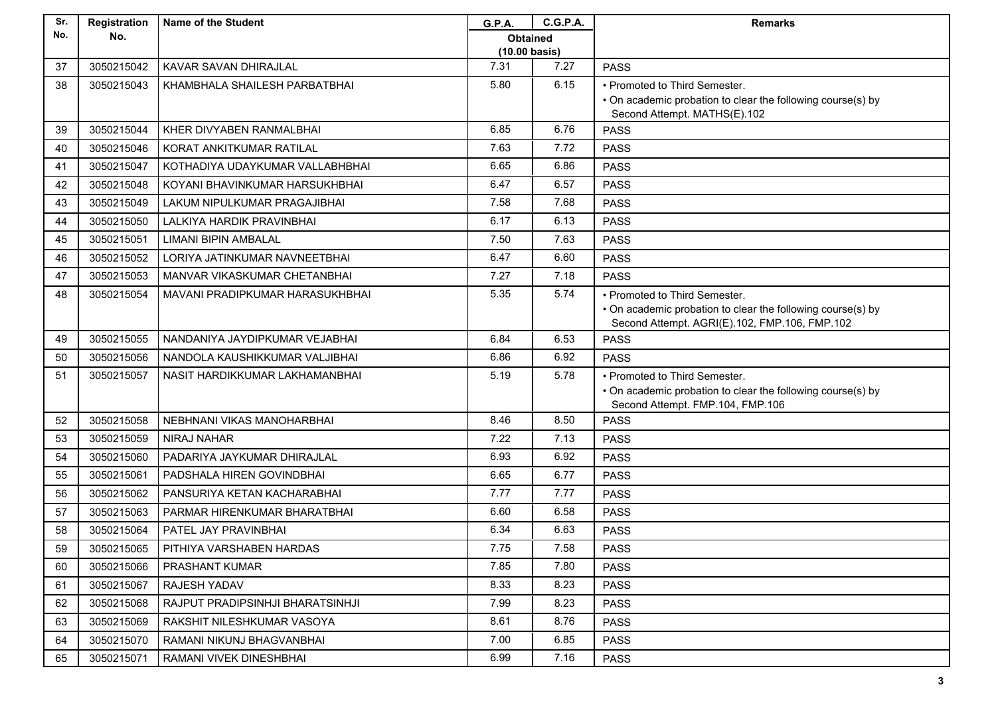| Sr. | Registration | <b>Name of the Student</b>       | G.P.A.                  | <b>C.G.P.A.</b> | <b>Remarks</b>                                                                                  |
|-----|--------------|----------------------------------|-------------------------|-----------------|-------------------------------------------------------------------------------------------------|
| No. | No.          |                                  | <b>Obtained</b>         |                 |                                                                                                 |
|     |              |                                  | $(10.00 \text{ basis})$ |                 |                                                                                                 |
| 37  | 3050215042   | KAVAR SAVAN DHIRAJLAL            | 7.31                    | 7.27            | <b>PASS</b>                                                                                     |
| 38  | 3050215043   | KHAMBHALA SHAILESH PARBATBHAI    | 5.80                    | 6.15            | • Promoted to Third Semester.                                                                   |
|     |              |                                  |                         |                 | • On academic probation to clear the following course(s) by<br>Second Attempt. MATHS(E).102     |
| 39  | 3050215044   | KHER DIVYABEN RANMALBHAI         | 6.85                    | 6.76            | <b>PASS</b>                                                                                     |
| 40  | 3050215046   | KORAT ANKITKUMAR RATILAL         | 7.63                    | 7.72            | <b>PASS</b>                                                                                     |
| 41  | 3050215047   | KOTHADIYA UDAYKUMAR VALLABHBHAI  | 6.65                    | 6.86            | <b>PASS</b>                                                                                     |
| 42  | 3050215048   | KOYANI BHAVINKUMAR HARSUKHBHAI   | 6.47                    | 6.57            | <b>PASS</b>                                                                                     |
| 43  | 3050215049   | LAKUM NIPULKUMAR PRAGAJIBHAI     | 7.58                    | 7.68            | <b>PASS</b>                                                                                     |
| 44  | 3050215050   | LALKIYA HARDIK PRAVINBHAI        | 6.17                    | 6.13            | <b>PASS</b>                                                                                     |
| 45  | 3050215051   | <b>LIMANI BIPIN AMBALAL</b>      | 7.50                    | 7.63            | <b>PASS</b>                                                                                     |
| 46  | 3050215052   | LORIYA JATINKUMAR NAVNEETBHAI    | 6.47                    | 6.60            | <b>PASS</b>                                                                                     |
| 47  | 3050215053   | MANVAR VIKASKUMAR CHETANBHAI     | 7.27                    | 7.18            | <b>PASS</b>                                                                                     |
| 48  | 3050215054   | MAVANI PRADIPKUMAR HARASUKHBHAI  | 5.35                    | 5.74            | • Promoted to Third Semester.                                                                   |
|     |              |                                  |                         |                 | • On academic probation to clear the following course(s) by                                     |
|     |              |                                  |                         |                 | Second Attempt. AGRI(E).102, FMP.106, FMP.102                                                   |
| 49  | 3050215055   | NANDANIYA JAYDIPKUMAR VEJABHAI   | 6.84                    | 6.53            | <b>PASS</b>                                                                                     |
| 50  | 3050215056   | NANDOLA KAUSHIKKUMAR VALJIBHAI   | 6.86                    | 6.92            | <b>PASS</b>                                                                                     |
| 51  | 3050215057   | NASIT HARDIKKUMAR LAKHAMANBHAI   | 5.19                    | 5.78            | • Promoted to Third Semester.                                                                   |
|     |              |                                  |                         |                 | • On academic probation to clear the following course(s) by<br>Second Attempt. FMP.104, FMP.106 |
| 52  | 3050215058   | NEBHNANI VIKAS MANOHARBHAI       | 8.46                    | 8.50            | <b>PASS</b>                                                                                     |
| 53  | 3050215059   | <b>NIRAJ NAHAR</b>               | 7.22                    | 7.13            | <b>PASS</b>                                                                                     |
| 54  | 3050215060   | PADARIYA JAYKUMAR DHIRAJLAL      | 6.93                    | 6.92            | <b>PASS</b>                                                                                     |
| 55  | 3050215061   | PADSHALA HIREN GOVINDBHAI        | 6.65                    | 6.77            | <b>PASS</b>                                                                                     |
| 56  | 3050215062   | PANSURIYA KETAN KACHARABHAI      | 7.77                    | 7.77            | <b>PASS</b>                                                                                     |
| 57  | 3050215063   | PARMAR HIRENKUMAR BHARATBHAI     | 6.60                    | 6.58            | <b>PASS</b>                                                                                     |
| 58  | 3050215064   | PATEL JAY PRAVINBHAI             | 6.34                    | 6.63            | <b>PASS</b>                                                                                     |
| 59  | 3050215065   | PITHIYA VARSHABEN HARDAS         | 7.75                    | 7.58            | <b>PASS</b>                                                                                     |
| 60  | 3050215066   | PRASHANT KUMAR                   | 7.85                    | 7.80            | <b>PASS</b>                                                                                     |
| 61  | 3050215067   | RAJESH YADAV                     | 8.33                    | 8.23            | <b>PASS</b>                                                                                     |
| 62  | 3050215068   | RAJPUT PRADIPSINHJI BHARATSINHJI | 7.99                    | 8.23            | <b>PASS</b>                                                                                     |
| 63  | 3050215069   | RAKSHIT NILESHKUMAR VASOYA       | 8.61                    | 8.76            | <b>PASS</b>                                                                                     |
| 64  | 3050215070   | RAMANI NIKUNJ BHAGVANBHAI        | 7.00                    | 6.85            | <b>PASS</b>                                                                                     |
| 65  | 3050215071   | RAMANI VIVEK DINESHBHAI          | 6.99                    | 7.16            | <b>PASS</b>                                                                                     |